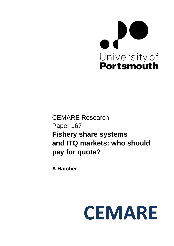

CEMARE Research Paper 167 **Fishery share systems and ITQ markets: who should pay for quota?** 

**A Hatcher** 

# **CEMARE**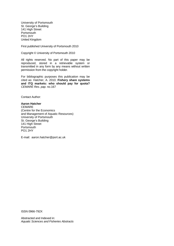University of Portsmouth St. George's Building 141 High Street **Portsmouth** PO1 2HY United Kingdom

First published University of Portsmouth 2010

Copyright © University of Portsmouth 2010

All rights reserved. No part of this paper may be reproduced, stored in a retrievable system or transmitted in any form by any means without written permission from the copyright holder.

For bibliographic purposes this publication may be cited as: Hatcher, A. 2010. **Fishery share systems and ITQ markets: who should pay for quota?**  *CEMARE Res. pap.* no.167

Contact Author:

#### **Aaron Hatcher**

**CEMARE** (Centre for the Economics and Management of Aquatic Resources) University of Portsmouth St. George's Building 141 High Street **Portsmouth** PO1 2HY

E-mail: aaron.hatcher@port.ac.uk

ISSN 0966-792X

Abstracted and Indexed in: *Aquatic Sciences and Fisheries Abstracts*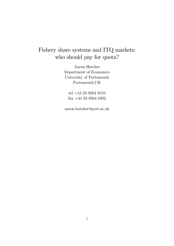# Fishery share systems and ITQ markets: who should pay for quota?

Aaron Hatcher Department of Economics University of Portsmouth Portsmouth,UK

tel +44 23 9284 8510 fax +44 23 9284 8502

aaron.hatcher@port.ac.uk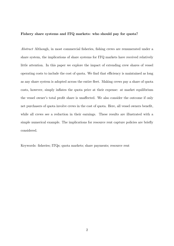#### Fishery share systems and ITQ markets: who should pay for quota?

Abstract Although, in most commercial fisheries, fishing crews are remunerated under a share system, the implications of share systems for ITQ markets have received relatively little attention. In this paper we explore the impact of extending crew shares of vessel operating costs to include the cost of quota. We find that efficiency is maintained as long as any share system is adopted across the entire áeet. Making crews pay a share of quota costs, however, simply inflates the quota price at their expense: at market equilibrium the vessel owner's total profit share is unaffected. We also consider the outcome if only net purchasers of quota involve crews in the cost of quota. Here, all vessel owners benefit, while all crews see a reduction in their earnings. These results are illustrated with a simple numerical example. The implications for resource rent capture policies are briefly considered.

Keywords: fisheries; ITQs; quota markets; share payments; resource rent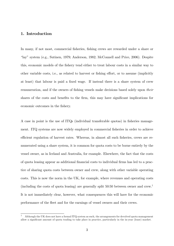# 1. Introduction

In many, if not most, commercial fisheries, fishing crews are rewarded under a share or ìlayî system (e.g., Sutinen, 1979; Anderson, 1982; McConnell and Price, 2006). Despite this, economic models of the Öshery tend either to treat labour costs in a similar way to other variable costs, i.e., as related to harvest or fishing effort, or to assume (implicitly at least) that labour is paid a fixed wage. If instead there is a share system of crew remuneration, and if the owners of fishing vessels make decisions based solely upon *their* shares of the costs and benefits to the firm, this may have significant implications for economic outcomes in the fishery.

A case in point is the use of ITQs (individual transferable quotas) in fisheries management. ITQ systems are now widely employed in commercial fisheries in order to achieve efficient regulation of harvest rates. Whereas, in almost all such fisheries, crews are remunerated using a share system, it is common for quota costs to be borne entirely by the vessel owner, as in Iceland and Australia, for example. Elsewhere, the fact that the costs of quota leasing appear as additional Önancial costs to individual Örms has led to a practice of sharing quota costs between owner and crew, along with other variable operating costs. This is now the norm in the UK, for example, where revenues and operating costs (including the costs of quota leasing) are generally split  $50:50$  between owner and crew.<sup>1</sup> It is not immediately clear, however, what consequences this will have for the economic performance of the fleet and for the earnings of vessel owners and their crews.

<sup>&</sup>lt;sup>1</sup> Although the UK does not have a formal ITQ system as such, the arrangements for devolved quota management allow a significant amount of quota trading to take place in practice, particularly in the in-year (lease) market.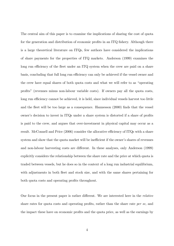The central aim of this paper is to examine the implications of sharing the cost of quota for the generation and distribution of economic profits in an ITQ fishery. Although there is a large theoretical literature on ITQs, few authors have considered the implications of share payments for the properties of ITQ markets. Anderson (1999) examines the long run efficiency of the fleet under an ITQ system when the crew are paid on a share basis, concluding that full long run efficiency can only be achieved if the vessel owner and the crew have equal shares of both quota costs and what we will refer to as "operating" proÖtsî (revenues minus non-labour variable costs). If owners pay all the quota costs, long run efficiency cannot be achieved, it is held, since individual vessels harvest too little and the fleet will be too large as a consequence. Hannesson (2000) finds that the vessel owner's decision to invest in ITQs under a share system is distorted if a share of profits is paid to the crew, and argues that over-investment in physical capital may occur as a result. McConnell and Price (2006) consider the allocative efficiency of ITQs with a share system and show that the quota market will be inefficient if the owner's shares of revenues and non-labour harvesting costs are different. In these analyses, only Anderson (1999) explicitly considers the relationship between the share rate and the price at which quota is traded between vessels, but he does so in the context of a long run industrial equilibrium, with adjustments in both fleet and stock size, and with the same shares pertaining for both quota costs and operating profits throughout.

Our focus in the present paper is rather different. We are interested here in the *relative* share rates for quota costs and operating profits, rather than the share rate *per se*, and the impact these have on economic profits and the quota price, as well as the earnings by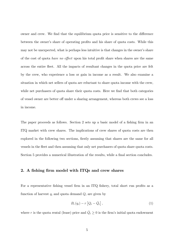owner and crew. We find that the equilibrium quota price is sensitive to the difference between the owner's share of operating profits and his share of quota costs. While this may not be unexpected, what is perhaps less intuitive is that changes in the owner's share of the cost of quota *have no effect* upon his total profit share when shares are the same across the entire fleet. All the impacts of resultant changes in the quota price are felt by the crew, who experience a loss or gain in income as a result. We also examine a situation in which net sellers of quota are reluctant to share quota income with the crew, while net purchasers of quota share their quota costs. Here we find that both categories of vessel owner are better of under a sharing arrangement, whereas both crews see a loss in income.

The paper proceeds as follows. Section 2 sets up a basic model of a fishing firm in an ITQ market with crew shares. The implications of crew shares of quota costs are then explored in the following two sections, firstly assuming that shares are the same for all vessels in the fleet and then assuming that only net purchasers of quota share quota costs. Section 5 provides a numerical illustration of the results, while a final section concludes.

#### 2. A fishing firm model with ITQs and crew shares

For a representative fishing vessel firm in an ITQ fishery, total short run profits as a function of harvest  $q_i$  and quota demand  $Q_i$  are given by

$$
B_i(q_i) - r \left[ Q_i - \bar{Q}_i \right], \tag{1}
$$

where r is the quota rental (lease) price and  $\overline{Q}_i \ge 0$  is the firm's initial quota endowment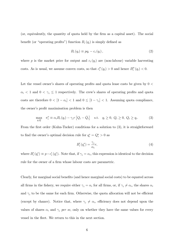(or, equivalently, the quantity of quota held by the Örm as a capital asset). The social benefit (or "operating profits") function  $B_i(q_i)$  is simply defined as

$$
B_i(q_i) \equiv pq_i - c_i(q_i), \qquad (2)
$$

where p is the market price for output and  $c_i(q_i)$  are (non-labour) variable harvesting costs. As is usual, we assume convex costs, so that  $c_i''(q_i) > 0$  and hence  $B_i''(q_i) < 0$ .

Let the vessel owner's shares of operating profits and quota lease costs be given by  $0 <$  $\alpha_i$  < 1 and  $0 \leq \gamma_i \leq 1$  respectively. The crew's shares of operating profits and quota costs are therefore  $0 < [1 - \alpha_i] < 1$  and  $0 \leq [1 - \gamma_i] < 1$ . Assuming quota compliance, the owner's profit maximisation problem is then

$$
\max_{q,Q} \quad \pi_i^o \equiv \alpha_i B_i(q_i) - \gamma_i r \left[ Q_i - \bar{Q}_i \right] \quad \text{s.t.} \quad q_i \ge 0, \ Q_i \ge 0, \ Q_i \ge q_i. \tag{3}
$$

From the first order (Kuhn-Tucker) conditions for a solution to  $(3)$ , it is straightforward to find the owner's optimal decision rule for  $q_i^* = Q_i^* > 0$  as

$$
B_i'(q_i^*) = \frac{\gamma_i}{\alpha_i} r,\tag{4}
$$

where  $B_i'(q_i^*) \equiv p - c_i'(q_i^*)$ . Note that, if  $\gamma_i = \alpha_i$ , this expression is identical to the decision rule for the owner of a firm whose labour costs are parametric.

Clearly, for marginal social benefits (and hence marginal social costs) to be equated across all firms in the fishery, we require either  $\gamma_i = \alpha_i$  for all firms, or, if  $\gamma_i \neq \alpha_i$ , the shares  $\alpha_i$ and  $\gamma_i$  to be the same for each firm. Otherwise, the quota allocation will not be efficient (except by chance). Notice that, where  $\gamma_i \neq \alpha_i$ , efficiency does not depend upon the values of shares  $\alpha_i$  and  $\gamma_i$  per se, only on whether they have the same values for every vessel in the fleet. We return to this in the next section.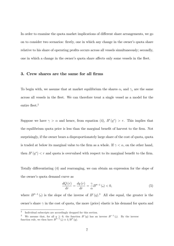In order to examine the quota market implications of different share arrangements, we go on to consider two scenarios: firstly, one in which any change in the owner's quota share relative to his share of operating profits occurs across all vessels simultaneously; secondly, one in which a change in the owner's quota share affects only some vessels in the fleet.

#### 3. Crew shares are the same for all firms

To begin with, we assume that at market equilibrium the shares  $\alpha_i$  and  $\gamma_i$  are the same across all vessels in the fleet. We can therefore treat a single vessel as a model for the entire fleet.<sup>2</sup>

Suppose we have  $\gamma > \alpha$  and hence, from equation (4),  $B'(q^*) > r$ . This implies that the equilibrium quota price is less than the marginal benefit of harvest to the firm. Not surprisingly, if the owner bears a disproportionately large share of the cost of quota, quota is traded at below its marginal value to the firm as a whole. If  $\gamma < \alpha$ , on the other hand, then  $B'(q^*) < r$  and quota is overvalued with respect to its marginal benefit to the firm.

Totally differentiating (4) and rearranging, we can obtain an expression for the slope of the owner's quota demand curve as

$$
\frac{dQ\left(r\right)}{dr} = \frac{dq\left(r\right)}{dr} = \frac{\gamma}{\alpha}B''^{-1}\left(\centerdot\right) < 0,\tag{5}
$$

where  $B''^{-1}$  (.) is the slope of the inverse of  $B'(q)$ .<sup>3</sup> All else equal, the greater is the owner's share  $\gamma$  in the cost of quota, the more (price) elastic is his demand for quota and

<sup>2</sup> Individual subscripts are accordingly dropped for this section.

<sup>&</sup>lt;sup>3</sup> We assume that, for all  $q \geq 0$ , the function  $B'(q)$  has an inverse  $B'^{-1}($ . By the inverse function rule, we then have  $B''^{-1}$  (.)  $\equiv 1/B''(q)$ .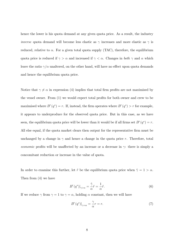hence the lower is his quota demand at any given quota price. As a result, the industry *inverse* quota demand will become less elastic as  $\gamma$  increases and more elastic as  $\gamma$  is reduced, relative to  $\alpha$ . For a given total quota supply (TAC), therefore, the equilibrium quota price is reduced if  $\gamma > \alpha$  and increased if  $\gamma < \alpha$ . Changes in *both*  $\gamma$  and  $\alpha$  which leave the ratio  $\gamma/\alpha$  unaltered, on the other hand, will have no effect upon quota demands and hence the equilibrium quota price.

Notice that  $\gamma \neq \alpha$  in expression (4) implies that total firm profits are not maximised by the vessel owner. From  $(1)$  we would expect total profits for both owner and crew to be maximised where  $B'(q^*)=r$ . If, instead, the firm operates where  $B'(q^*)>r$  for example, it appears to underproduce for the observed quota price. But in this case, as we have seen, the equilibrium quota price will be lower than it would be if all firms set  $B'(q^*) = r$ . All else equal, if the quota market clears then output for the representative firm must be unchanged by a change in  $\gamma$  and hence a change in the quota price r. Therefore, total economic profits will be unaffected by an increase or a decrease in  $\gamma$ : there is simply a concomitant reduction or increase in the value of quota.

In order to examine this further, let  $\tilde{r}$  be the equilibrium quota price when  $\tilde{\gamma} = 1 > \alpha$ . Then from (4) we have

$$
B'(q^*)|_{\gamma > \alpha} = \frac{\tilde{\gamma}}{\alpha} \tilde{r} = \frac{1}{\alpha} \tilde{r}.
$$
 (6)

If we reduce  $\gamma$  from  $\gamma = 1$  to  $\gamma = \alpha$ , holding  $\alpha$  constant, then we will have

$$
B'(q^*)|_{\gamma=\alpha} = \frac{\gamma}{\alpha}r = r.
$$
\n(7)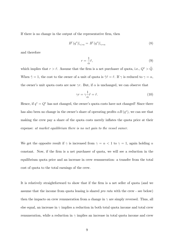If there is no change in the output of the representative firm, then

$$
B'(q^*)|_{\gamma>\alpha} = B'(q^*)|_{\gamma=\alpha} \tag{8}
$$

and therefore

$$
r = \frac{1}{\alpha}\tilde{r},\tag{9}
$$

which implies that  $r > \tilde{r}$ . Assume that the firm is a net purchaser of quota, i.e.,  $Q^* > \bar{Q}$ . When  $\tilde{\gamma} = 1$ , the cost to the owner of a unit of quota is  $\tilde{\gamma}\tilde{r} = \tilde{r}$ . If  $\gamma$  is reduced to  $\gamma = \alpha$ , the owner's unit quota costs are now  $\gamma r$ . But, if  $\alpha$  is unchanged, we can observe that

$$
\gamma r = \gamma \frac{1}{\alpha} \tilde{r} = \tilde{r}.\tag{10}
$$

Hence, if  $q^* = Q^*$  has not changed, the owner's quota costs have not changed! Since there has also been no change in the owner's share of operating profits  $\alpha B (q^*)$ , we can see that making the crew pay a share of the quota costs merely inflates the quota price at their expense: at market equilibrium there is no net gain to the vessel owner.

We get the opposite result if  $\gamma$  is increased from  $\gamma = \alpha < 1$  to  $\gamma = 1$ , again holding  $\alpha$ constant. Now, if the firm is a net purchaser of quota, we will see a reduction in the equilibrium quota price and an increase in crew remuneration: a transfer from the total cost of quota to the total earnings of the crew.

It is relatively straightforward to show that if the firm is a net seller of quota (and we assume that the income from quota leasing is shared pro rata with the crew - see below) then the impacts on crew remuneration from a change in  $\gamma$  are simply reversed. Thus, all else equal, an increase in  $\gamma$  implies a reduction in both total quota income and total crew remuneration, while a reduction in  $\gamma$  implies an increase in total quota income and crew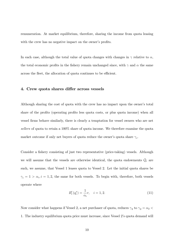remuneration. At market equilibrium, therefore, sharing the income from quota leasing with the crew has no negative impact on the owner's profits.

In each case, although the total value of quota changes with changes in  $\gamma$  relative to  $\alpha$ , the total economic profits in the fishery remain unchanged since, with  $\gamma$  and  $\alpha$  the same across the fleet, the allocation of quota continues to be efficient.

## 4. Crew quota shares differ across vessels

Although sharing the cost of quota with the crew has no impact upon the owner's total share of the profits (operating profits less quota costs, or plus quota income) when all vessel firms behave similarly, there is clearly a temptation for vessel owners who are net sellers of quota to retain a 100% share of quota income. We therefore examine the quota market outcome if only net buyers of quota reduce the owner's quota share  $\gamma_i$ .

Consider a fishery consisting of just two representative (price-taking) vessels. Although we will assume that the vessels are otherwise identical, the quota endowments  $\overline{Q}_i$  are such, we assume, that Vessel 1 leases quota to Vessel 2. Let the initial quota shares be  $\gamma_i = 1 > \alpha_i, i = 1, 2$ , the same for both vessels. To begin with, therefore, both vessels operate where

$$
B_i'(q_i^*) = \frac{1}{\alpha_i}r, \quad i = 1, 2. \tag{11}
$$

Now consider what happens if Vessel 2, a net purchaser of quota, reduces  $\gamma_2$  to  $\gamma_2 = \alpha_2$ 1. The industry equilibrium quota price must increase, since Vessel 2ís quota demand will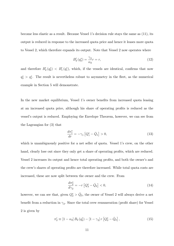become less elastic as a result. Because Vessel 1ís decision rule stays the same as (11), its output is reduced in response to the increased quota price and hence it leases more quota to Vessel 2, which therefore expands its output. Note that Vessel 2 now operates where

$$
B_2'(q_2^*) = \frac{\gamma_2}{\alpha_2} r = r,\tag{12}
$$

and therefore  $B_2'(q_2^*) < B_1'(q_1^*)$ , which, if the vessels are identical, confirms that now  $q_2^* > q_1^*$ . The result is nevertheless robust to asymmetry in the fleet, as the numerical example in Section 5 will demonstrate.

In the new market equilibrium, Vessel 1's owner benefits from increased quota leasing at an increased quota price, although his share of operating profits is reduced as the vesselís output is reduced. Employing the Envelope Theorem, however, we can see from the Lagrangian for (3) that

$$
\frac{d\pi_1^o}{dr} = -\gamma_1 \left[ Q_1^* - \bar{Q}_1 \right] > 0,\t\t(13)
$$

which is unambiguously positive for a net seller of quota. Vessel 1's crew, on the other hand, clearly lose out since they only get a share of operating profits, which are reduced. Vessel 2 increases its output and hence total operating profits, and both the owner's and the crew's shares of operating profits are therefore increased. While total quota costs are increased, these are now split between the owner and the crew. From

$$
\frac{d\pi_2^o}{d\gamma_2} = -r \left[ Q_2^* - \bar{Q}_2 \right] < 0,\tag{14}
$$

however, we can see that, given  $Q_2^* > \bar{Q}_2$ , the owner of Vessel 2 will always derive a net benefit from a reduction in  $\gamma_2$ . Since the total crew remuneration (profit share) for Vessel 2 is given by

$$
\pi_2^c \equiv [1 - \alpha_2] B_2 (q_2^*) - [1 - \gamma_2] r [Q_2^* - \bar{Q}_2], \qquad (15)
$$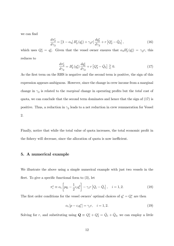we can find

$$
\frac{d\pi_2^c}{d\gamma_2} = [[1 - \alpha_2] B_2' (q_2^*) + \gamma_2 r] \frac{dq_2^*}{d\gamma_2} + r [Q_2^* - \bar{Q}_2], \qquad (16)
$$

which uses  $Q_2^* = q_2^*$ . Given that the vessel owner ensures that  $\alpha_2 B_2'(q_2^*) = \gamma_2 r$ , this reduces to

$$
\frac{d\pi_2^c}{d\gamma_2} = B_2'(q_2^*) \frac{dq_2^*}{d\gamma_2} + r \left[Q_2^* - \bar{Q}_2\right] \gtrless 0. \tag{17}
$$

As the first term on the RHS is negative and the second term is positive, the sign of this expression appears ambiguous. However, since the change in crew income from a marginal change in  $\gamma_2$  is related to the *marginal* change in operating profits but the *total* cost of quota, we can conclude that the second term dominates and hence that the sign of (17) is positive. Thus, a reduction in  $\gamma_2$  leads to a net reduction in crew remuneration for Vessel 2.

Finally, notice that while the total value of quota increases, the total economic profit in the fishery will decrease, since the allocation of quota is now inefficient.

# 5. A numerical example

We illustrate the above using a simple numerical example with just two vessels in the fleet. To give a specific functional form to  $(3)$ , let

$$
\pi_i^o \equiv \alpha_i \left[ pq_i - \frac{1}{2} c_i q_i^2 \right] - \gamma_i r \left[ Q_i - \bar{Q}_i \right], \quad i = 1, 2. \tag{18}
$$

The first order conditions for the vessel owners' optimal choices of  $q_i^* = Q_i^*$  are then

$$
\alpha_i \left[ p - c_i q_i^* \right] = \gamma_i r, \quad i = 1, 2. \tag{19}
$$

Solving for r, and substituting using  $\mathbf{Q} \equiv Q_1^* + Q_2^* = \bar{Q}_1 + \bar{Q}_2$ , we can employ a little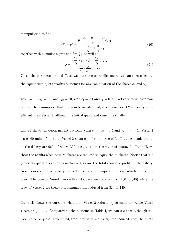manipulation to find

$$
Q_1^* = q_1^* = \frac{p\left[\frac{\alpha_1}{\gamma_1} - \frac{\alpha_2}{\gamma_2}\right] + \frac{\alpha_2}{\gamma_2} c_2 \mathbf{Q}}{\frac{\alpha_1}{\gamma_1} c_1 + \frac{\alpha_2}{\gamma_2} c_2},\tag{20}
$$

together with a similar expression for  $Q_2^*$ , as well as

$$
r = \frac{p\frac{\alpha_1}{\gamma_1} [c_1 + c_2] - \frac{\alpha_1}{\gamma_1} c_1 c_2 \mathbf{Q}}{\frac{\alpha_1}{\gamma_1} \cdot \frac{\gamma_2}{\alpha_2} c_1 + c_2}.
$$
 (21)

Given the parameters p and  $\overline{Q}_i$  as well as the cost coefficients  $c_i$ , we can then calculate the equilibrium quota market outcomes for any combination of the shares  $\alpha_i$  and  $\gamma_i$ .

Let  $p = 10, \bar{Q}_1 = 100$  and  $\bar{Q}_2 = 20$ , with  $c_1 = 0.1$  and  $c_2 = 0.05$ . Notice that we have now relaxed the assumption that the vessels are identical, since here Vessel 2 is clearly more efficient than Vessel 1, although its initial quota endowment is smaller.

Table I shows the quota market outcome when  $\alpha_1 = \alpha_2 = 0.5$  and  $\gamma_1 = \gamma_2 = 1$ . Vessel 1 leases 60 units of quota to Vessel 2 at an equilibrium price of 3. Total economic profits in the fishery are 960, of which 360 is captured in the value of quota. In Table II, we show the results when both  $\gamma_i$  shares are reduced to equal the  $\alpha_i$  shares. Notice that the (efficient) quota allocation is unchanged, as are the total economic profits in the fishery. Now, however, the value of quota is doubled and the impact of this is entirely felt by the crew. The crew of Vessel 1 more than double their income (from 160 to 340) while the crew of Vessel 2 see their total remuneration reduced from 320 to 140.

Table III shows the outcome when only Vessel 2 reduces  $\gamma_2$  to equal  $\alpha_2$ , while Vessel 1 retains  $\gamma_1 = 1$ . Compared to the outcome in Table I, we can see that although the total value of quota is increased, total profits in the fishery are reduced since the quota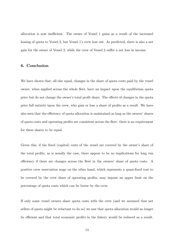allocation is now inefficient. The owner of Vessel 1 gains as a result of the increased leasing of quota to Vessel 2, but Vessel 1ís crew lose out. As predicted, there is also a net gain for the owner of Vessel 2, while the crew of Vessel 2 suffer a net loss in income.

## 6. Conclusion

We have shown that, all else equal, changes in the share of quota costs paid by the vessel owner, when applied across the whole fleet, have an impact upon the equilibrium quota price but do not change the owner's total profit share. The effects of changes in the quota price fall entirely upon the crew, who gain or lose a share of profits as a result. We have also seen that the efficiency of quota allocation is maintained as long as the owners' shares of quota costs and operating profits are consistent across the fleet: there is no requirement for these shares to be equal.

Given this, if the fixed (capital) costs of the vessel are covered by the owner's share of the total profits, as is usually the case, there appear to be no implications for long run efficiency if there are changes across the fleet in the owners' share of quota costs. A positive crew reservation wage on the other hand, which represents a quasi-Öxed cost to be covered by the crew share of operating profits, may impose an upper limit on the percentage of quota costs which can be borne by the crew.

If only some vessel owners share quota costs with the crew (and we assumed that net sellers of quota might be reluctant to do so) we saw that quota allocation would no longer be efficient and that total economic profits in the fishery would be reduced as a result.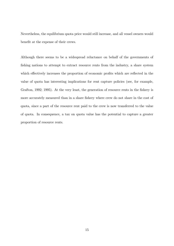Nevertheless, the equilibrium quota price would still increase, and all vessel owners would benefit at the expense of their crews.

Although there seems to be a widespread reluctance on behalf of the governments of fishing nations to attempt to extract resource rents from the industry, a share system which effectively increases the proportion of economic profits which are reflected in the value of quota has interesting implications for rent capture policies (see, for example, Grafton, 1992; 1995). At the very least, the generation of resource rents in the fishery is more accurately measured than in a share fishery where crew do not share in the cost of quota, since a part of the resource rent paid to the crew is now transferred to the value of quota. In consequence, a tax on quota value has the potential to capture a greater proportion of resource rents.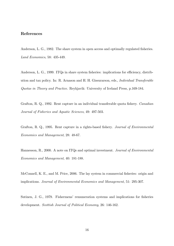# References

Anderson, L. G., 1982. The share system in open access and optimally regulated fisheries. Land Economics, 58: 435-449.

Anderson, L. G., 1999. ITQs in share system fisheries: implications for efficiency, distribution and tax policy. In: R. Arnason and H. H. Gissurarson, eds., Individual Transferable Quotas in Theory and Practice. Reykjavik: University of Iceland Press, p.169-184.

Grafton, R. Q., 1992. Rent capture in an individual transferable quota fishery. Canadian Journal of Fisheries and Aquatic Sciences, 49: 497-503.

Grafton, R. Q., 1995. Rent capture in a rights-based fishery. *Journal of Environmental* Economics and Management, 28: 48-67.

Hannesson, R., 2000. A note on ITQs and optimal investment. Journal of Environmental Economics and Management, 40: 181-188.

McConnell, K. E., and M. Price, 2006. The lay system in commercial fisheries: origin and implications. Journal of Environmental Economics and Management, 51: 295-307.

Sutinen, J. G., 1979. Fishermens' remuneration systems and implications for fisheries development. Scottish Journal of Political Economy, 26: 146-162.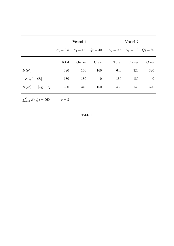|                                         |       | Vessel 1 |                  |                                                                                               | Vessel 2    |                   |
|-----------------------------------------|-------|----------|------------------|-----------------------------------------------------------------------------------------------|-------------|-------------------|
|                                         |       |          |                  | $\alpha_1 = 0.5$ $\gamma_1 = 1.0$ $Q_1^* = 40$ $\alpha_2 = 0.5$ $\gamma_2 = 1.0$ $Q_2^* = 80$ |             |                   |
|                                         | Total | Owner    | $C_{\text{rew}}$ | Total                                                                                         | Owner       | Crew              |
| $B(q_i^*)$                              | 320   | 160      | 160              | 640                                                                                           | 320         | 320               |
| $-r\left[Q_i^* - \bar{Q}_i\right]$      | 180   | 180      | $\overline{0}$   |                                                                                               | $-180 -180$ | $\hspace{0.6cm}0$ |
| $B(q_i^*) - r [Q_i^* - \bar{Q}_i]$      | 500   | 340      | 160              | 460                                                                                           | 140         | 320               |
| $\sum_{i=1}^{2} B(q_i^*) = 960$ $r = 3$ |       |          |                  |                                                                                               |             |                   |

Table I.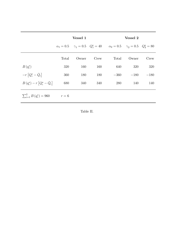|                                    | Vessel 1 |       |      | Vessel 2                                                                                      |             |        |  |
|------------------------------------|----------|-------|------|-----------------------------------------------------------------------------------------------|-------------|--------|--|
|                                    |          |       |      | $\alpha_1 = 0.5$ $\gamma_1 = 0.5$ $Q_1^* = 40$ $\alpha_2 = 0.5$ $\gamma_2 = 0.5$ $Q_2^* = 80$ |             |        |  |
|                                    | Total    | Owner | Crew | Total                                                                                         | Owner       | Crew   |  |
| $B(q_i^*)$                         | 320      | 160   | 160  | 640                                                                                           | 320         | 320    |  |
| $-r\left[Q_i^* - \bar{Q}_i\right]$ | 360      | 180   | 180  |                                                                                               | $-360 -180$ | $-180$ |  |
| $B(q_i^*) - r [Q_i^* - \bar{Q}_i]$ | 680      | 340   | 340  | 280                                                                                           | 140         | 140    |  |
| $\sum_{i=1}^{2} B(q_i^*) = 960$    | $r = 6$  |       |      |                                                                                               |             |        |  |

Table II.